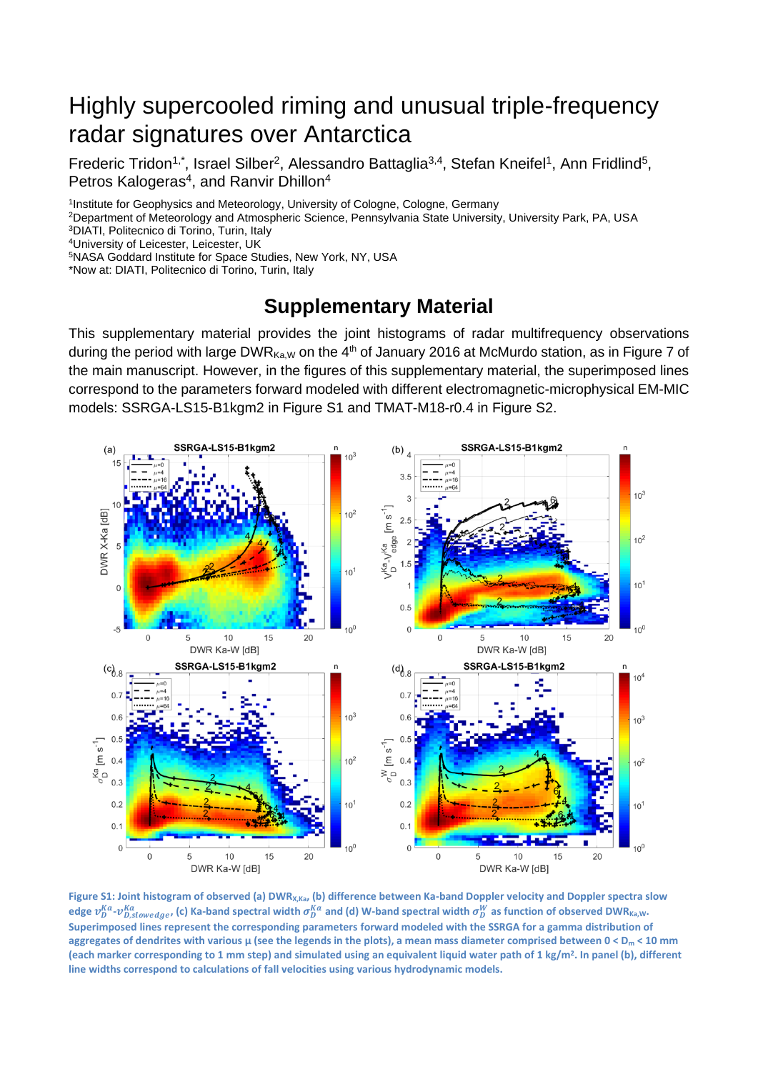## Highly supercooled riming and unusual triple-frequency radar signatures over Antarctica

Frederic Tridon<sup>1,\*</sup>, Israel Silber<sup>2</sup>, Alessandro Battaglia<sup>3,4</sup>, Stefan Kneifel<sup>1</sup>, Ann Fridlind<sup>5</sup>, Petros Kalogeras<sup>4</sup>, and Ranvir Dhillon<sup>4</sup>

<sup>1</sup>Institute for Geophysics and Meteorology, University of Cologne, Cologne, Germany

<sup>2</sup>Department of Meteorology and Atmospheric Science, Pennsylvania State University, University Park, PA, USA <sup>3</sup>DIATI, Politecnico di Torino, Turin, Italy

<sup>4</sup>University of Leicester, Leicester, UK

<sup>5</sup>NASA Goddard Institute for Space Studies, New York, NY, USA

\*Now at: DIATI, Politecnico di Torino, Turin, Italy

## **Supplementary Material**

This supplementary material provides the joint histograms of radar multifrequency observations during the period with large DWR $_{Ka,W}$  on the 4<sup>th</sup> of January 2016 at McMurdo station, as in Figure 7 of the main manuscript. However, in the figures of this supplementary material, the superimposed lines correspond to the parameters forward modeled with different electromagnetic-microphysical EM-MIC models: SSRGA-LS15-B1kgm2 in Figure S1 and TMAT-M18-r0.4 in Figure S2.



**Figure S1: Joint histogram of observed (a) DWRX,Ka, (b) difference between Ka-band Doppler velocity and Doppler spectra slow**  edge  $v_D^{Ka}$ - $v_{D,slowedge}^{Ka}$  (c) Ka-band spectral width  $\sigma_D^{Ka}$  and (d) W-band spectral width  $\sigma_D^W$  as function of observed DWR<sub>Ka,W</sub>. **Superimposed lines represent the corresponding parameters forward modeled with the SSRGA for a gamma distribution of aggregates of dendrites with various μ (see the legends in the plots), a mean mass diameter comprised between 0 < D<sup>m</sup> < 10 mm (each marker corresponding to 1 mm step) and simulated using an equivalent liquid water path of 1 kg/m<sup>2</sup> . In panel (b), different line widths correspond to calculations of fall velocities using various hydrodynamic models.**